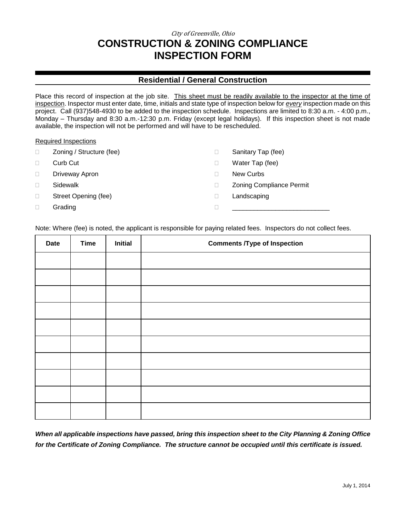## City of Greenville, Ohio **CONSTRUCTION & ZONING COMPLIANCE INSPECTION FORM**

### **Residential / General Construction**

Place this record of inspection at the job site. This sheet must be readily available to the inspector at the time of inspection. Inspector must enter date, time, initials and state type of inspection below for *every* inspection made on this project. Call (937)548-4930 to be added to the inspection schedule. Inspections are limited to 8:30 a.m. - 4:00 p.m., Monday – Thursday and 8:30 a.m.-12:30 p.m. Friday (except legal holidays). If this inspection sheet is not made available, the inspection will not be performed and will have to be rescheduled.

#### Required Inspections

| Zoning / Structure (fee) | Sanitary Tap (fee)              |
|--------------------------|---------------------------------|
| Curb Cut                 | Water Tap (fee)                 |
| Driveway Apron           | New Curbs                       |
| Sidewalk                 | <b>Zoning Compliance Permit</b> |
| Street Opening (fee)     | Landscaping                     |
| Grading                  |                                 |
|                          |                                 |

Note: Where (fee) is noted, the applicant is responsible for paying related fees. Inspectors do not collect fees.

| <b>Date</b> | <b>Time</b> | <b>Initial</b> | <b>Comments /Type of Inspection</b> |
|-------------|-------------|----------------|-------------------------------------|
|             |             |                |                                     |
|             |             |                |                                     |
|             |             |                |                                     |
|             |             |                |                                     |
|             |             |                |                                     |
|             |             |                |                                     |
|             |             |                |                                     |
|             |             |                |                                     |
|             |             |                |                                     |
|             |             |                |                                     |

*When all applicable inspections have passed, bring this inspection sheet to the City Planning & Zoning Office for the Certificate of Zoning Compliance. The structure cannot be occupied until this certificate is issued.*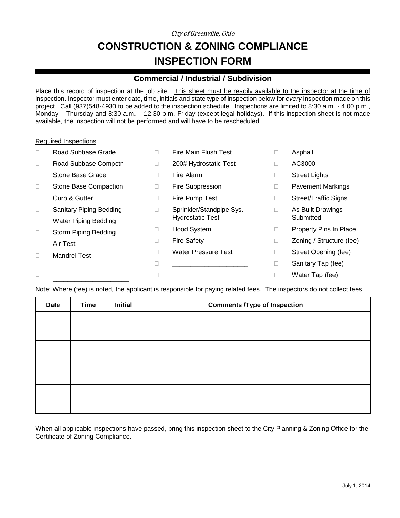City of Greenville, Ohio

# **CONSTRUCTION & ZONING COMPLIANCE INSPECTION FORM**

### **Commercial / Industrial / Subdivision**

Place this record of inspection at the job site. This sheet must be readily available to the inspector at the time of inspection. Inspector must enter date, time, initials and state type of inspection below for *every* inspection made on this project. Call (937)548-4930 to be added to the inspection schedule. Inspections are limited to 8:30 a.m. - 4:00 p.m., Monday – Thursday and 8:30 a.m. – 12:30 p.m. Friday (except legal holidays). If this inspection sheet is not made available, the inspection will not be performed and will have to be rescheduled.

#### Required Inspections

| $\Box$ | Road Subbase Grade             |   | Fire Main Flush Test     | Asphalt                  |
|--------|--------------------------------|---|--------------------------|--------------------------|
| $\Box$ | Road Subbase Compctn           |   | 200# Hydrostatic Test    | AC3000                   |
| $\Box$ | Stone Base Grade               |   | Fire Alarm               | <b>Street Lights</b>     |
| $\Box$ | Stone Base Compaction          |   | Fire Suppression         | <b>Pavement Markings</b> |
| $\Box$ | Curb & Gutter                  | Ш | Fire Pump Test           | Street/Traffic Signs     |
| $\Box$ | <b>Sanitary Piping Bedding</b> |   | Sprinkler/Standpipe Sys. | As Built Drawings        |
| $\Box$ | <b>Water Piping Bedding</b>    |   | <b>Hydrostatic Test</b>  | Submitted                |
| $\Box$ | Storm Piping Bedding           |   | Hood System              | Property Pins In Place   |
| $\Box$ | Air Test                       |   | <b>Fire Safety</b>       | Zoning / Structure (fee) |
| $\Box$ | <b>Mandrel Test</b>            |   | Water Pressure Test      | Street Opening (fee)     |
| $\Box$ |                                |   |                          | Sanitary Tap (fee)       |
|        |                                |   |                          | Water Tap (fee)          |
|        |                                |   |                          |                          |

Note: Where (fee) is noted, the applicant is responsible for paying related fees. The inspectors do not collect fees.

| <b>Date</b> | <b>Time</b> | <b>Initial</b> | <b>Comments /Type of Inspection</b> |
|-------------|-------------|----------------|-------------------------------------|
|             |             |                |                                     |
|             |             |                |                                     |
|             |             |                |                                     |
|             |             |                |                                     |
|             |             |                |                                     |
|             |             |                |                                     |
|             |             |                |                                     |

When all applicable inspections have passed, bring this inspection sheet to the City Planning & Zoning Office for the Certificate of Zoning Compliance.